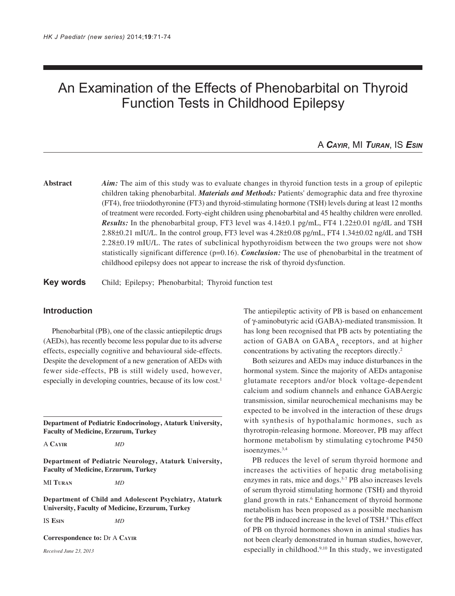# An Examination of the Effects of Phenobarbital on Thyroid Function Tests in Childhood Epilepsy

# A *CAYIR*, MI *TURAN*, IS *ESIN*

**Abstract** *Aim:* The aim of this study was to evaluate changes in thyroid function tests in a group of epileptic children taking phenobarbital. *Materials and Methods:* Patients' demographic data and free thyroxine (FT4), free triiodothyronine (FT3) and thyroid-stimulating hormone (TSH) levels during at least 12 months of treatment were recorded. Forty-eight children using phenobarbital and 45 healthy children were enrolled. *Results:* In the phenobarbital group, FT3 level was 4.14±0.1 pg/mL, FT4 1.22±0.01 ng/dL and TSH 2.88±0.21 mIU/L. In the control group, FT3 level was 4.28±0.08 pg/mL, FT4 1.34±0.02 ng/dL and TSH 2.28±0.19 mIU/L. The rates of subclinical hypothyroidism between the two groups were not show statistically significant difference (p=0.16). *Conclusion:* The use of phenobarbital in the treatment of childhood epilepsy does not appear to increase the risk of thyroid dysfunction.

**Key words** Child; Epilepsy; Phenobarbital; Thyroid function test

### **Introduction**

Phenobarbital (PB), one of the classic antiepileptic drugs (AEDs), has recently become less popular due to its adverse effects, especially cognitive and behavioural side-effects. Despite the development of a new generation of AEDs with fewer side-effects, PB is still widely used, however, especially in developing countries, because of its low cost.<sup>1</sup>

**Department of Pediatric Endocrinology, Ataturk University, Faculty of Medicine, Erzurum, Turkey**

A **CAYIR** *MD*

**Department of Pediatric Neurology, Ataturk University, Faculty of Medicine, Erzurum, Turkey**

MI **TURAN** *MD*

**Department of Child and Adolescent Psychiatry, Ataturk University, Faculty of Medicine, Erzurum, Turkey**

IS **ESIN** *MD*

**Correspondence to:** Dr A **CAYIR**

*Received June 23, 2013*

The antiepileptic activity of PB is based on enhancement of γ-aminobutyric acid (GABA)-mediated transmission. It has long been recognised that PB acts by potentiating the action of GABA on  $GABA_A$  receptors, and at higher concentrations by activating the receptors directly.2

Both seizures and AEDs may induce disturbances in the hormonal system. Since the majority of AEDs antagonise glutamate receptors and/or block voltage-dependent calcium and sodium channels and enhance GABAergic transmission, similar neurochemical mechanisms may be expected to be involved in the interaction of these drugs with synthesis of hypothalamic hormones, such as thyrotropin-releasing hormone. Moreover, PB may affect hormone metabolism by stimulating cytochrome P450 isoenzymes.3,4

PB reduces the level of serum thyroid hormone and increases the activities of hepatic drug metabolising enzymes in rats, mice and dogs.<sup>5-7</sup> PB also increases levels of serum thyroid stimulating hormone (TSH) and thyroid gland growth in rats.<sup>6</sup> Enhancement of thyroid hormone metabolism has been proposed as a possible mechanism for the PB induced increase in the level of TSH.<sup>8</sup> This effect of PB on thyroid hormones shown in animal studies has not been clearly demonstrated in human studies, however, especially in childhood.9,10 In this study, we investigated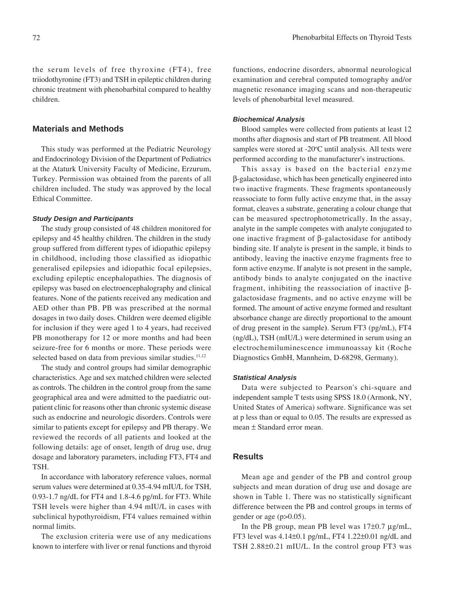the serum levels of free thyroxine (FT4), free triiodothyronine (FT3) and TSH in epileptic children during chronic treatment with phenobarbital compared to healthy children.

## **Materials and Methods**

This study was performed at the Pediatric Neurology and Endocrinology Division of the Department of Pediatrics at the Ataturk University Faculty of Medicine, Erzurum, Turkey. Permission was obtained from the parents of all children included. The study was approved by the local Ethical Committee.

#### *Study Design and Participants*

The study group consisted of 48 children monitored for epilepsy and 45 healthy children. The children in the study group suffered from different types of idiopathic epilepsy in childhood, including those classified as idiopathic generalised epilepsies and idiopathic focal epilepsies, excluding epileptic encephalopathies. The diagnosis of epilepsy was based on electroencephalography and clinical features. None of the patients received any medication and AED other than PB. PB was prescribed at the normal dosages in two daily doses. Children were deemed eligible for inclusion if they were aged 1 to 4 years, had received PB monotherapy for 12 or more months and had been seizure-free for 6 months or more. These periods were selected based on data from previous similar studies.<sup>11,12</sup>

The study and control groups had similar demographic characteristics. Age and sex matched children were selected as controls. The children in the control group from the same geographical area and were admitted to the paediatric outpatient clinic for reasons other than chronic systemic disease such as endocrine and neurologic disorders. Controls were similar to patients except for epilepsy and PB therapy. We reviewed the records of all patients and looked at the following details: age of onset, length of drug use, drug dosage and laboratory parameters, including FT3, FT4 and TSH.

In accordance with laboratory reference values, normal serum values were determined at 0.35-4.94 mIU/L for TSH, 0.93-1.7 ng/dL for FT4 and 1.8-4.6 pg/mL for FT3. While TSH levels were higher than 4.94 mIU/L in cases with subclinical hypothyroidism, FT4 values remained within normal limits.

The exclusion criteria were use of any medications known to interfere with liver or renal functions and thyroid

functions, endocrine disorders, abnormal neurological examination and cerebral computed tomography and/or magnetic resonance imaging scans and non-therapeutic levels of phenobarbital level measured.

#### *Biochemical Analysis*

Blood samples were collected from patients at least 12 months after diagnosis and start of PB treatment. All blood samples were stored at -20°C until analysis. All tests were performed according to the manufacturer's instructions.

This assay is based on the bacterial enzyme β-galactosidase, which has been genetically engineered into two inactive fragments. These fragments spontaneously reassociate to form fully active enzyme that, in the assay format, cleaves a substrate, generating a colour change that can be measured spectrophotometrically. In the assay, analyte in the sample competes with analyte conjugated to one inactive fragment of β-galactosidase for antibody binding site. If analyte is present in the sample, it binds to antibody, leaving the inactive enzyme fragments free to form active enzyme. If analyte is not present in the sample, antibody binds to analyte conjugated on the inactive fragment, inhibiting the reassociation of inactive βgalactosidase fragments, and no active enzyme will be formed. The amount of active enzyme formed and resultant absorbance change are directly proportional to the amount of drug present in the sample**)**. Serum FT3 (pg/mL), FT4 (ng/dL), TSH (mIU/L) were determined in serum using an electrochemiluminescence immunoassay kit (Roche Diagnostics GmbH, Mannheim, D-68298, Germany).

#### *Statistical Analysis*

Data were subjected to Pearson's chi-square and independent sample T tests using SPSS 18.0 (Armonk, NY, United States of America) software. Significance was set at p less than or equal to 0.05. The results are expressed as mean ± Standard error mean.

#### **Results**

Mean age and gender of the PB and control group subjects and mean duration of drug use and dosage are shown in Table 1. There was no statistically significant difference between the PB and control groups in terms of gender or age  $(p>0.05)$ .

In the PB group, mean PB level was 17±0.7 µg/mL, FT3 level was 4.14±0.1 pg/mL, FT4 1.22±0.01 ng/dL and TSH 2.88±0.21 mIU/L. In the control group FT3 was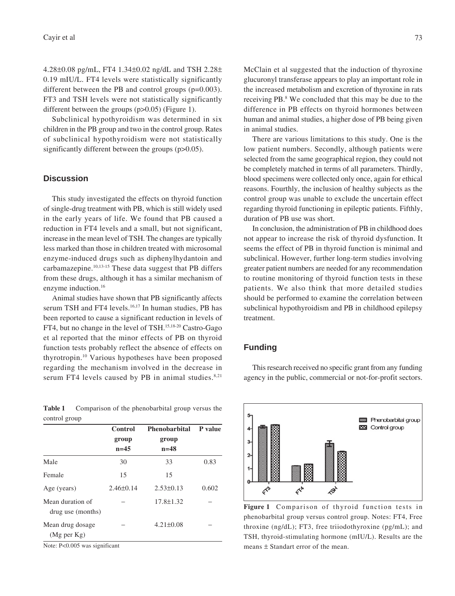4.28±0.08 pg/mL, FT4 1.34±0.02 ng/dL and TSH 2.28± 0.19 mIU/L. FT4 levels were statistically significantly different between the PB and control groups (p=0.003). FT3 and TSH levels were not statistically significantly different between the groups (p>0.05) (Figure 1).

Subclinical hypothyroidism was determined in six children in the PB group and two in the control group. Rates of subclinical hypothyroidism were not statistically significantly different between the groups (p>0.05).

## **Discussion**

This study investigated the effects on thyroid function of single-drug treatment with PB, which is still widely used in the early years of life. We found that PB caused a reduction in FT4 levels and a small, but not significant, increase in the mean level of TSH. The changes are typically less marked than those in children treated with microsomal enzyme-induced drugs such as diphenylhydantoin and carbamazepine.10,13-15 These data suggest that PB differs from these drugs, although it has a similar mechanism of enzyme induction.<sup>16</sup>

Animal studies have shown that PB significantly affects serum TSH and FT4 levels.<sup>16,17</sup> In human studies, PB has been reported to cause a significant reduction in levels of FT4, but no change in the level of TSH.15,18-20 Castro-Gago et al reported that the minor effects of PB on thyroid function tests probably reflect the absence of effects on thyrotropin.10 Various hypotheses have been proposed regarding the mechanism involved in the decrease in serum FT4 levels caused by PB in animal studies. $8,21$ 

**Table 1** Comparison of the phenobarbital group versus the control group

|                                       | Control<br>group<br>$n=45$ | <b>Phenobarbital</b><br>group<br>$n = 48$ | P value |
|---------------------------------------|----------------------------|-------------------------------------------|---------|
|                                       |                            |                                           |         |
|                                       |                            |                                           |         |
| Male                                  | 30                         | 33                                        | 0.83    |
| Female                                | 15                         | 15                                        |         |
| Age (years)                           | $2.46 \pm 0.14$            | $2.53\pm0.13$                             | 0.602   |
| Mean duration of<br>drug use (months) |                            | $17.8 \pm 1.32$                           |         |
| Mean drug dosage<br>(Mg per Kg)       |                            | $4.21 \pm 0.08$                           |         |

Note: P<0.005 was significant

McClain et al suggested that the induction of thyroxine glucuronyl transferase appears to play an important role in the increased metabolism and excretion of thyroxine in rats receiving PB.<sup>8</sup> We concluded that this may be due to the difference in PB effects on thyroid hormones between human and animal studies, a higher dose of PB being given in animal studies.

There are various limitations to this study. One is the low patient numbers. Secondly, although patients were selected from the same geographical region, they could not be completely matched in terms of all parameters. Thirdly, blood specimens were collected only once, again for ethical reasons. Fourthly, the inclusion of healthy subjects as the control group was unable to exclude the uncertain effect regarding thyroid functioning in epileptic patients. Fifthly, duration of PB use was short.

In conclusion, the administration of PB in childhood does not appear to increase the risk of thyroid dysfunction. It seems the effect of PB in thyroid function is minimal and subclinical. However, further long-term studies involving greater patient numbers are needed for any recommendation to routine monitoring of thyroid function tests in these patients. We also think that more detailed studies should be performed to examine the correlation between subclinical hypothyroidism and PB in childhood epilepsy treatment.

# **Funding**



**Figure 1** Comparison of thyroid function tests in phenobarbital group versus control group. Notes: FT4, Free throxine (ng/dL); FT3, free triiodothyroxine (pg/mL); and TSH, thyroid-stimulating hormone (mIU/L). Results are the means ± Standart error of the mean.

This research received no specific grant from any funding agency in the public, commercial or not-for-profit sectors.